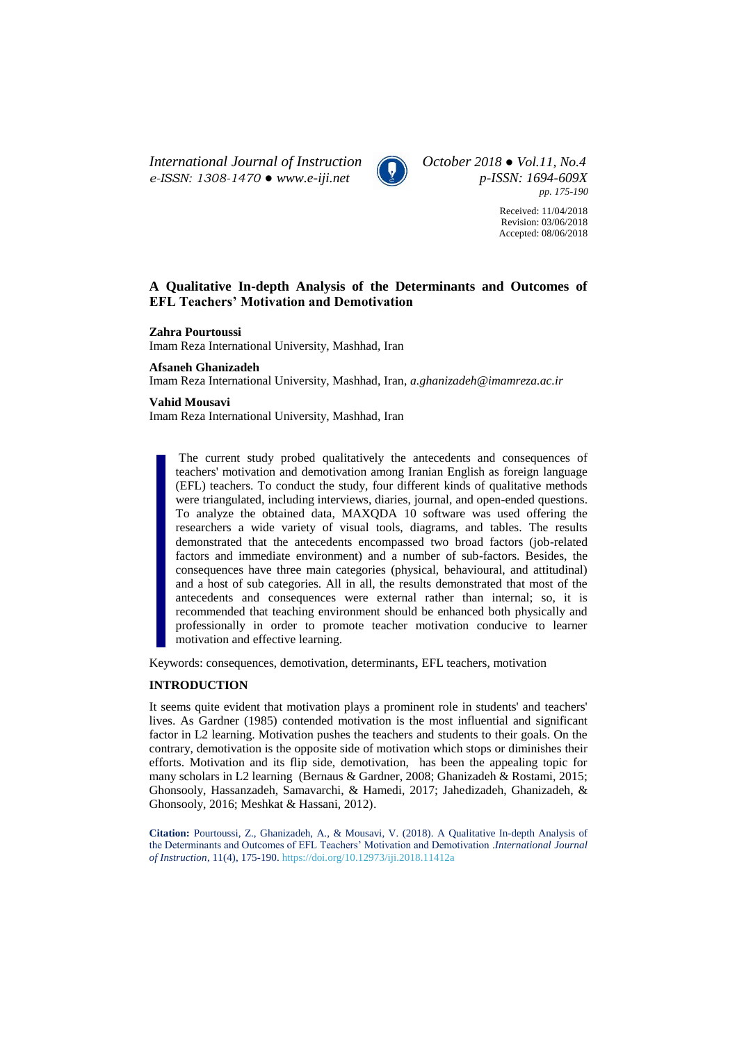*International Journal of Instruction October 2018 ● Vol.11, No.4 e-ISSN: 1308-1470 ● [www.e-iji.net](http://www.e-iji.net/) p-ISSN: 1694-609X*



*pp. 175-190*

Received: 11/04/2018 Revision: 03/06/2018 Accepted: 08/06/2018

# **A Qualitative In-depth Analysis of the Determinants and Outcomes of EFL Teachers' Motivation and Demotivation**

### **Zahra Pourtoussi**

Imam Reza International University, Mashhad, Iran

#### **Afsaneh Ghanizadeh**

Imam Reza International University, Mashhad, Iran, *a.ghanizadeh@imamreza.ac.ir*

## **Vahid Mousavi**

Imam Reza International University, Mashhad, Iran

The current study probed qualitatively the antecedents and consequences of teachers' motivation and demotivation among Iranian English as foreign language (EFL) teachers. To conduct the study, four different kinds of qualitative methods were triangulated, including interviews, diaries, journal, and open-ended questions. To analyze the obtained data, MAXQDA 10 software was used offering the researchers a wide variety of visual tools, diagrams, and tables. The results demonstrated that the antecedents encompassed two broad factors (job-related factors and immediate environment) and a number of sub-factors. Besides, the consequences have three main categories (physical, behavioural, and attitudinal) and a host of sub categories. All in all, the results demonstrated that most of the antecedents and consequences were external rather than internal; so, it is recommended that teaching environment should be enhanced both physically and professionally in order to promote teacher motivation conducive to learner motivation and effective learning.

Keywords: consequences, demotivation, determinants, EFL teachers, motivation

# **INTRODUCTION**

It seems quite evident that motivation plays a prominent role in students' and teachers' lives. As Gardner (1985) contended motivation is the most influential and significant factor in L2 learning. Motivation pushes the teachers and students to their goals. On the contrary, demotivation is the opposite side of motivation which stops or diminishes their efforts. Motivation and its flip side, demotivation, has been the appealing topic for many scholars in L2 learning (Bernaus & Gardner, 2008; Ghanizadeh & Rostami, 2015; Ghonsooly, Hassanzadeh, Samavarchi, & Hamedi, 2017; Jahedizadeh, Ghanizadeh, & Ghonsooly, 2016; Meshkat & Hassani, 2012).

**Citation:** Pourtoussi, Z., Ghanizadeh, A., & Mousavi, V. (2018). A Qualitative In-depth Analysis of the Determinants and Outcomes of EFL Teachers' Motivation and Demotivation .*International Journal of Instruction*, 11(4), 175-190. <https://doi.org/10.12973/iji.2018.11412a>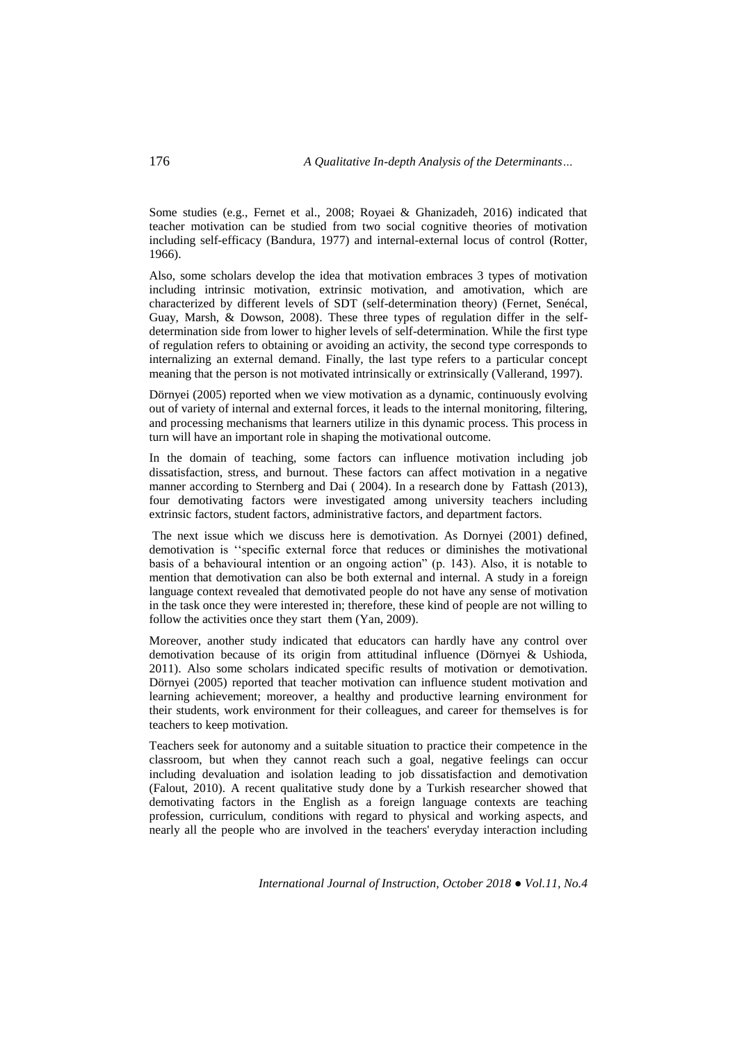Some studies (e.g., Fernet et al., 2008; Royaei & Ghanizadeh, 2016) indicated that teacher motivation can be studied from two social cognitive theories of motivation including self-efficacy (Bandura, 1977) and internal-external locus of control (Rotter, 1966).

Also, some scholars develop the idea that motivation embraces 3 types of motivation including intrinsic motivation, extrinsic motivation, and amotivation, which are characterized by different levels of SDT (self-determination theory) (Fernet, Senécal, Guay, Marsh, & Dowson, 2008). These three types of regulation differ in the selfdetermination side from lower to higher levels of self-determination. While the first type of regulation refers to obtaining or avoiding an activity, the second type corresponds to internalizing an external demand. Finally, the last type refers to a particular concept meaning that the person is not motivated intrinsically or extrinsically (Vallerand, 1997).

Dörnyei (2005) reported when we view motivation as a dynamic, continuously evolving out of variety of internal and external forces, it leads to the internal monitoring, filtering, and processing mechanisms that learners utilize in this dynamic process. This process in turn will have an important role in shaping the motivational outcome.

In the domain of teaching, some factors can influence motivation including job dissatisfaction, stress, and burnout. These factors can affect motivation in a negative manner according to Sternberg and Dai ( 2004). In a research done by Fattash (2013), four demotivating factors were investigated among university teachers including extrinsic factors, student factors, administrative factors, and department factors.

The next issue which we discuss here is demotivation. As Dornyei (2001) defined, demotivation is ''specific external force that reduces or diminishes the motivational basis of a behavioural intention or an ongoing action" (p. 143). Also, it is notable to mention that demotivation can also be both external and internal. A study in a foreign language context revealed that demotivated people do not have any sense of motivation in the task once they were interested in; therefore, these kind of people are not willing to follow the activities once they start them (Yan, 2009).

Moreover, another study indicated that educators can hardly have any control over demotivation because of its origin from attitudinal influence (Dörnyei & Ushioda, 2011). Also some scholars indicated specific results of motivation or demotivation. Dörnyei (2005) reported that teacher motivation can influence student motivation and learning achievement; moreover, a healthy and productive learning environment for their students, work environment for their colleagues, and career for themselves is for teachers to keep motivation.

Teachers seek for autonomy and a suitable situation to practice their competence in the classroom, but when they cannot reach such a goal, negative feelings can occur including devaluation and isolation leading to job dissatisfaction and demotivation (Falout, 2010). A recent qualitative study done by a Turkish researcher showed that demotivating factors in the English as a foreign language contexts are teaching profession, curriculum, conditions with regard to physical and working aspects, and nearly all the people who are involved in the teachers' everyday interaction including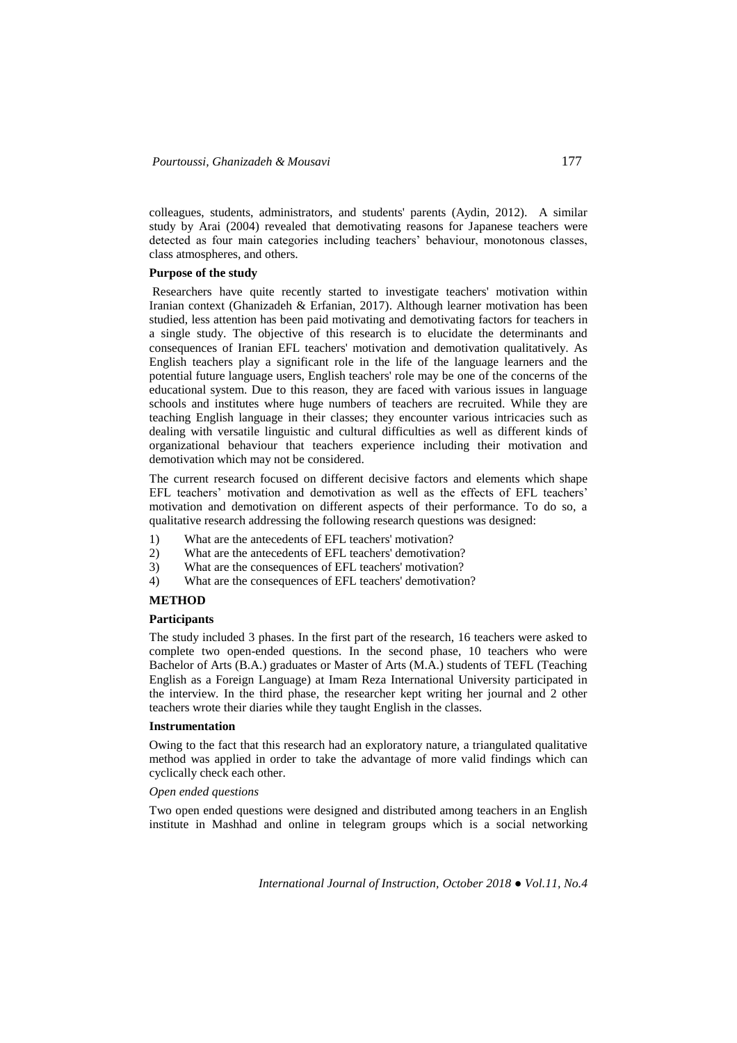colleagues, students, administrators, and students' parents (Aydin, 2012). A similar study by Arai (2004) revealed that demotivating reasons for Japanese teachers were detected as four main categories including teachers' behaviour, monotonous classes, class atmospheres, and others.

#### **Purpose of the study**

Researchers have quite recently started to investigate teachers' motivation within Iranian context (Ghanizadeh & Erfanian, 2017). Although learner motivation has been studied, less attention has been paid motivating and demotivating factors for teachers in a single study. The objective of this research is to elucidate the determinants and consequences of Iranian EFL teachers' motivation and demotivation qualitatively. As English teachers play a significant role in the life of the language learners and the potential future language users, English teachers' role may be one of the concerns of the educational system. Due to this reason, they are faced with various issues in language schools and institutes where huge numbers of teachers are recruited. While they are teaching English language in their classes; they encounter various intricacies such as dealing with versatile linguistic and cultural difficulties as well as different kinds of organizational behaviour that teachers experience including their motivation and demotivation which may not be considered.

The current research focused on different decisive factors and elements which shape EFL teachers' motivation and demotivation as well as the effects of EFL teachers' motivation and demotivation on different aspects of their performance. To do so, a qualitative research addressing the following research questions was designed:

- 1) What are the antecedents of EFL teachers' motivation?
- 2) What are the antecedents of EFL teachers' demotivation?
- 3) What are the consequences of EFL teachers' motivation?
- 4) What are the consequences of EFL teachers' demotivation?

## **METHOD**

# **Participants**

The study included 3 phases. In the first part of the research, 16 teachers were asked to complete two open-ended questions. In the second phase, 10 teachers who were Bachelor of Arts (B.A.) graduates or Master of Arts (M.A.) students of TEFL (Teaching English as a Foreign Language) at Imam Reza International University participated in the interview. In the third phase, the researcher kept writing her journal and 2 other teachers wrote their diaries while they taught English in the classes.

### **Instrumentation**

Owing to the fact that this research had an exploratory nature, a triangulated qualitative method was applied in order to take the advantage of more valid findings which can cyclically check each other.

# *Open ended questions*

Two open ended questions were designed and distributed among teachers in an English institute in Mashhad and online in telegram groups which is a social networking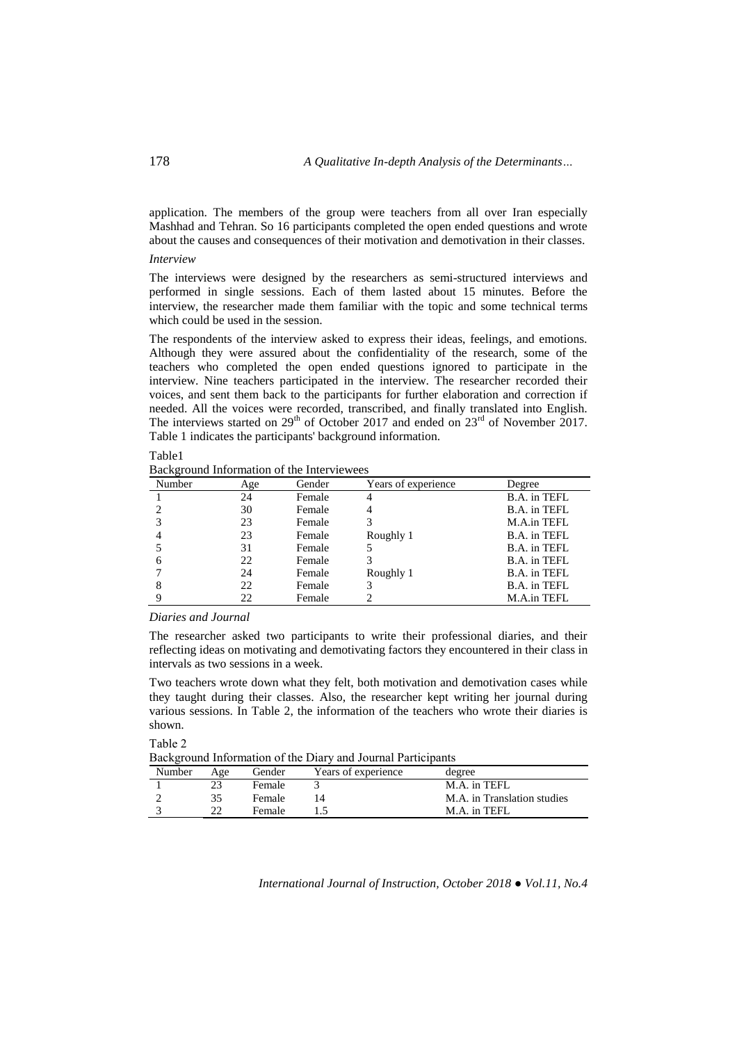application. The members of the group were teachers from all over Iran especially Mashhad and Tehran. So 16 participants completed the open ended questions and wrote about the causes and consequences of their motivation and demotivation in their classes. *Interview*

The interviews were designed by the researchers as semi-structured interviews and performed in single sessions. Each of them lasted about 15 minutes. Before the interview, the researcher made them familiar with the topic and some technical terms which could be used in the session.

The respondents of the interview asked to express their ideas, feelings, and emotions. Although they were assured about the confidentiality of the research, some of the teachers who completed the open ended questions ignored to participate in the interview. Nine teachers participated in the interview. The researcher recorded their voices, and sent them back to the participants for further elaboration and correction if needed. All the voices were recorded, transcribed, and finally translated into English. The interviews started on  $29<sup>th</sup>$  of October 2017 and ended on  $23<sup>rd</sup>$  of November 2017. Table 1 indicates the participants' background information.

#### Table1

Background Information of the Interviewees

| Number | Age | Gender | Years of experience | Degree       |
|--------|-----|--------|---------------------|--------------|
|        | 24  | Female |                     | B.A. in TEFL |
|        | 30  | Female | 4                   | B.A. in TEFL |
|        | 23  | Female |                     | M.A.in TEFL  |
|        | 23  | Female | Roughly 1           | B.A. in TEFL |
|        | 31  | Female |                     | B.A. in TEFL |
| 6      | 22  | Female |                     | B.A. in TEFL |
|        | 24  | Female | Roughly 1           | B.A. in TEFL |
|        | 22  | Female |                     | B.A. in TEFL |
|        | 22  | Female |                     | M.A.in TEFL  |

### *Diaries and Journal*

The researcher asked two participants to write their professional diaries, and their reflecting ideas on motivating and demotivating factors they encountered in their class in intervals as two sessions in a week.

Two teachers wrote down what they felt, both motivation and demotivation cases while they taught during their classes. Also, the researcher kept writing her journal during various sessions. In Table 2, the information of the teachers who wrote their diaries is shown.

Table 2

Background Information of the Diary and Journal Participants

| Daving come information of the Diar , who counter I arrivipanto |     |               |                     |                             |  |  |
|-----------------------------------------------------------------|-----|---------------|---------------------|-----------------------------|--|--|
| Number                                                          | Age | Gender        | Years of experience | degree                      |  |  |
|                                                                 |     | Female        |                     | M.A. in TEFL                |  |  |
|                                                                 |     | Female        |                     | M.A. in Translation studies |  |  |
|                                                                 |     | <b>Female</b> |                     | M.A. in TEFL                |  |  |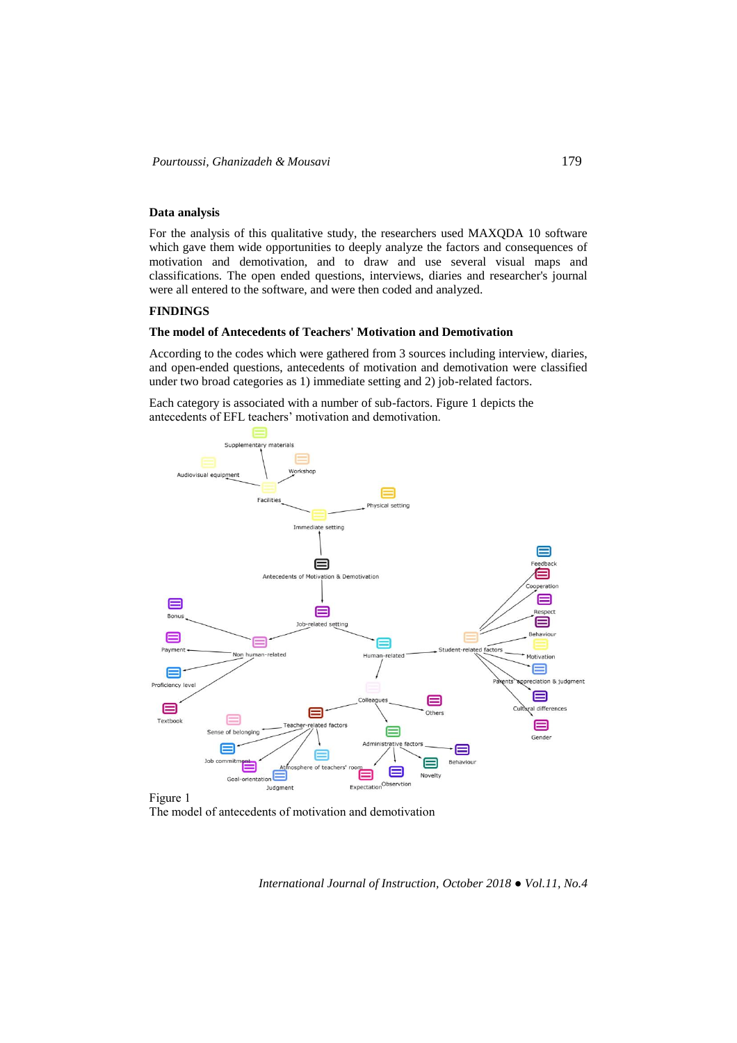## **Data analysis**

For the analysis of this qualitative study, the researchers used MAXQDA 10 software which gave them wide opportunities to deeply analyze the factors and consequences of motivation and demotivation, and to draw and use several visual maps and classifications. The open ended questions, interviews, diaries and researcher's journal were all entered to the software, and were then coded and analyzed.

# **FINDINGS**

### **The model of Antecedents of Teachers' Motivation and Demotivation**

According to the codes which were gathered from 3 sources including interview, diaries, and open-ended questions, antecedents of motivation and demotivation were classified under two broad categories as 1) immediate setting and 2) job-related factors.

Each category is associated with a number of sub-factors. Figure 1 depicts the antecedents of EFL teachers' motivation and demotivation.



The model of antecedents of motivation and demotivation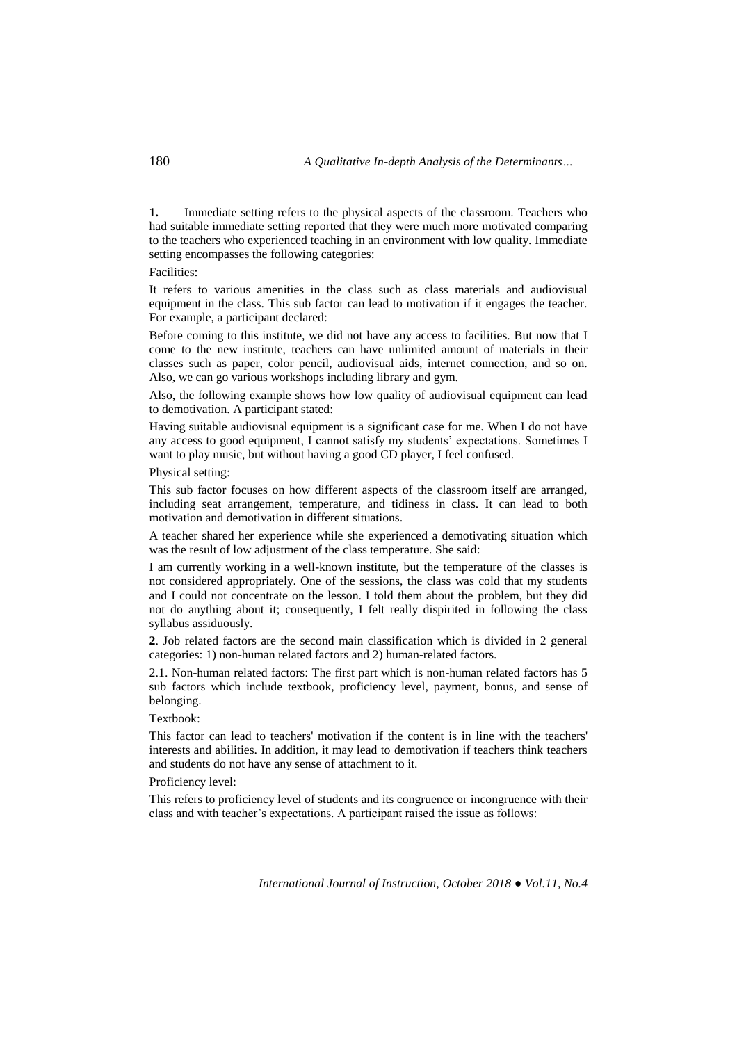**1.** Immediate setting refers to the physical aspects of the classroom. Teachers who had suitable immediate setting reported that they were much more motivated comparing to the teachers who experienced teaching in an environment with low quality. Immediate setting encompasses the following categories:

Facilities:

It refers to various amenities in the class such as class materials and audiovisual equipment in the class. This sub factor can lead to motivation if it engages the teacher. For example, a participant declared:

Before coming to this institute, we did not have any access to facilities. But now that I come to the new institute, teachers can have unlimited amount of materials in their classes such as paper, color pencil, audiovisual aids, internet connection, and so on. Also, we can go various workshops including library and gym.

Also, the following example shows how low quality of audiovisual equipment can lead to demotivation. A participant stated:

Having suitable audiovisual equipment is a significant case for me. When I do not have any access to good equipment, I cannot satisfy my students' expectations. Sometimes I want to play music, but without having a good CD player, I feel confused.

Physical setting:

This sub factor focuses on how different aspects of the classroom itself are arranged, including seat arrangement, temperature, and tidiness in class. It can lead to both motivation and demotivation in different situations.

A teacher shared her experience while she experienced a demotivating situation which was the result of low adjustment of the class temperature. She said:

I am currently working in a well-known institute, but the temperature of the classes is not considered appropriately. One of the sessions, the class was cold that my students and I could not concentrate on the lesson. I told them about the problem, but they did not do anything about it; consequently, I felt really dispirited in following the class syllabus assiduously.

**2**. Job related factors are the second main classification which is divided in 2 general categories: 1) non-human related factors and 2) human-related factors.

2.1. Non-human related factors: The first part which is non-human related factors has 5 sub factors which include textbook, proficiency level, payment, bonus, and sense of belonging.

Textbook:

This factor can lead to teachers' motivation if the content is in line with the teachers' interests and abilities. In addition, it may lead to demotivation if teachers think teachers and students do not have any sense of attachment to it.

Proficiency level:

This refers to proficiency level of students and its congruence or incongruence with their class and with teacher's expectations. A participant raised the issue as follows: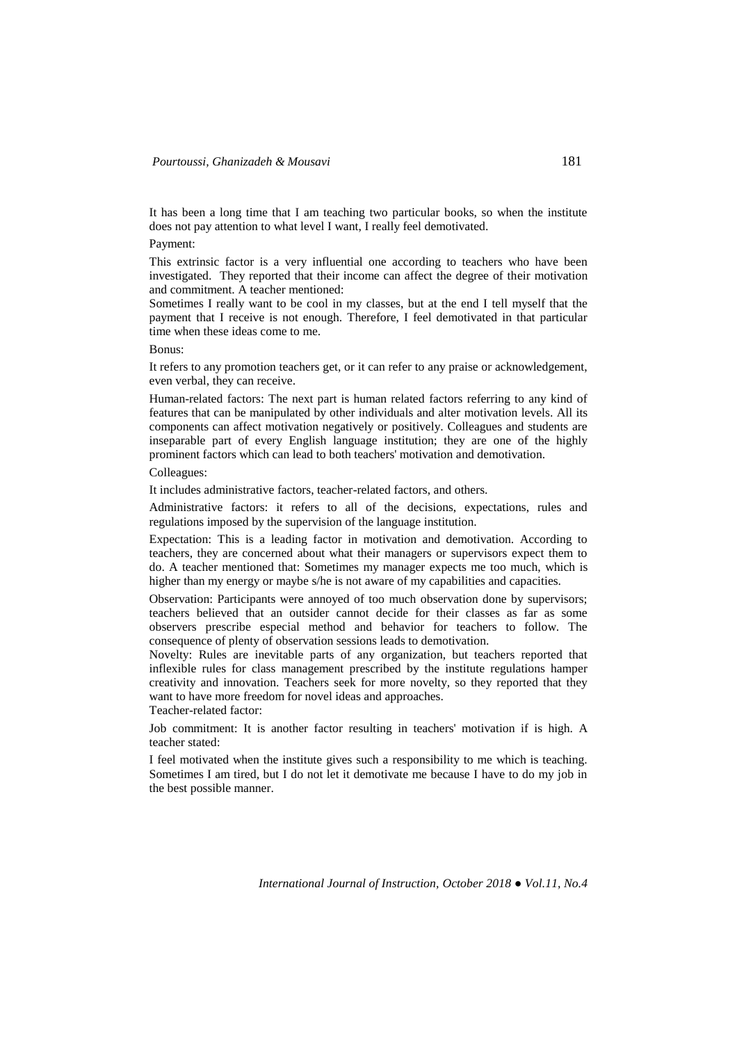It has been a long time that I am teaching two particular books, so when the institute does not pay attention to what level I want, I really feel demotivated.

Payment:

This extrinsic factor is a very influential one according to teachers who have been investigated. They reported that their income can affect the degree of their motivation and commitment. A teacher mentioned:

Sometimes I really want to be cool in my classes, but at the end I tell myself that the payment that I receive is not enough. Therefore, I feel demotivated in that particular time when these ideas come to me.

Bonus:

It refers to any promotion teachers get, or it can refer to any praise or acknowledgement, even verbal, they can receive.

Human-related factors: The next part is human related factors referring to any kind of features that can be manipulated by other individuals and alter motivation levels. All its components can affect motivation negatively or positively. Colleagues and students are inseparable part of every English language institution; they are one of the highly prominent factors which can lead to both teachers' motivation and demotivation.

Colleagues:

It includes administrative factors, teacher-related factors, and others.

Administrative factors: it refers to all of the decisions, expectations, rules and regulations imposed by the supervision of the language institution.

Expectation: This is a leading factor in motivation and demotivation. According to teachers, they are concerned about what their managers or supervisors expect them to do. A teacher mentioned that: Sometimes my manager expects me too much, which is higher than my energy or maybe s/he is not aware of my capabilities and capacities.

Observation: Participants were annoyed of too much observation done by supervisors; teachers believed that an outsider cannot decide for their classes as far as some observers prescribe especial method and behavior for teachers to follow. The consequence of plenty of observation sessions leads to demotivation.

Novelty: Rules are inevitable parts of any organization, but teachers reported that inflexible rules for class management prescribed by the institute regulations hamper creativity and innovation. Teachers seek for more novelty, so they reported that they want to have more freedom for novel ideas and approaches.

Teacher-related factor:

Job commitment: It is another factor resulting in teachers' motivation if is high. A teacher stated:

I feel motivated when the institute gives such a responsibility to me which is teaching. Sometimes I am tired, but I do not let it demotivate me because I have to do my job in the best possible manner.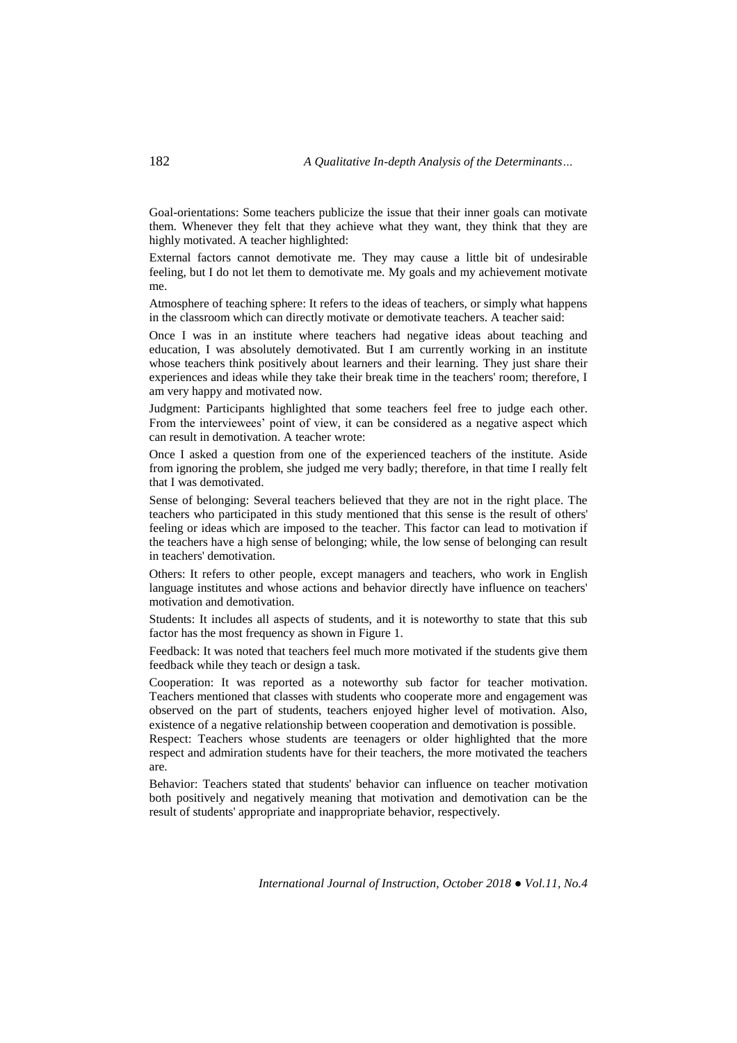Goal-orientations: Some teachers publicize the issue that their inner goals can motivate them. Whenever they felt that they achieve what they want, they think that they are highly motivated. A teacher highlighted:

External factors cannot demotivate me. They may cause a little bit of undesirable feeling, but I do not let them to demotivate me. My goals and my achievement motivate me.

Atmosphere of teaching sphere: It refers to the ideas of teachers, or simply what happens in the classroom which can directly motivate or demotivate teachers. A teacher said:

Once I was in an institute where teachers had negative ideas about teaching and education, I was absolutely demotivated. But I am currently working in an institute whose teachers think positively about learners and their learning. They just share their experiences and ideas while they take their break time in the teachers' room; therefore, I am very happy and motivated now.

Judgment: Participants highlighted that some teachers feel free to judge each other. From the interviewees' point of view, it can be considered as a negative aspect which can result in demotivation. A teacher wrote:

Once I asked a question from one of the experienced teachers of the institute. Aside from ignoring the problem, she judged me very badly; therefore, in that time I really felt that I was demotivated.

Sense of belonging: Several teachers believed that they are not in the right place. The teachers who participated in this study mentioned that this sense is the result of others' feeling or ideas which are imposed to the teacher. This factor can lead to motivation if the teachers have a high sense of belonging; while, the low sense of belonging can result in teachers' demotivation.

Others: It refers to other people, except managers and teachers, who work in English language institutes and whose actions and behavior directly have influence on teachers' motivation and demotivation.

Students: It includes all aspects of students, and it is noteworthy to state that this sub factor has the most frequency as shown in Figure 1.

Feedback: It was noted that teachers feel much more motivated if the students give them feedback while they teach or design a task.

Cooperation: It was reported as a noteworthy sub factor for teacher motivation. Teachers mentioned that classes with students who cooperate more and engagement was observed on the part of students, teachers enjoyed higher level of motivation. Also, existence of a negative relationship between cooperation and demotivation is possible.

Respect: Teachers whose students are teenagers or older highlighted that the more respect and admiration students have for their teachers, the more motivated the teachers are.

Behavior: Teachers stated that students' behavior can influence on teacher motivation both positively and negatively meaning that motivation and demotivation can be the result of students' appropriate and inappropriate behavior, respectively.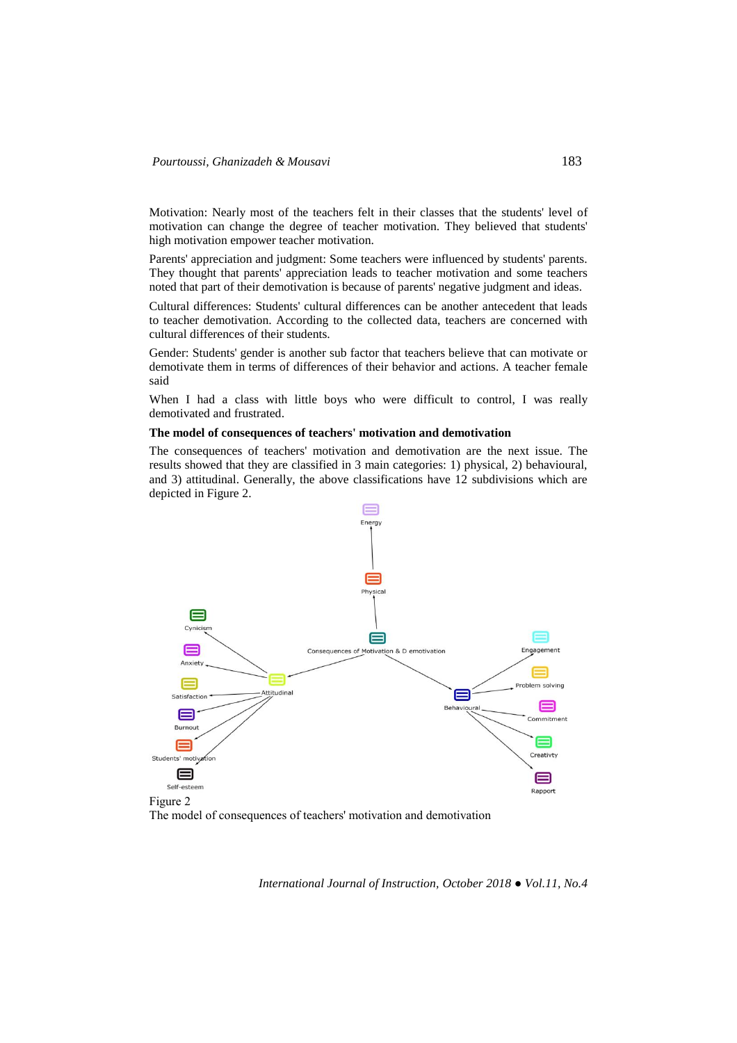Motivation: Nearly most of the teachers felt in their classes that the students' level of motivation can change the degree of teacher motivation. They believed that students' high motivation empower teacher motivation.

Parents' appreciation and judgment: Some teachers were influenced by students' parents. They thought that parents' appreciation leads to teacher motivation and some teachers noted that part of their demotivation is because of parents' negative judgment and ideas.

Cultural differences: Students' cultural differences can be another antecedent that leads to teacher demotivation. According to the collected data, teachers are concerned with cultural differences of their students.

Gender: Students' gender is another sub factor that teachers believe that can motivate or demotivate them in terms of differences of their behavior and actions. A teacher female said

When I had a class with little boys who were difficult to control, I was really demotivated and frustrated.

# **The model of consequences of teachers' motivation and demotivation**

The consequences of teachers' motivation and demotivation are the next issue. The results showed that they are classified in 3 main categories: 1) physical, 2) behavioural, and 3) attitudinal. Generally, the above classifications have 12 subdivisions which are depicted in Figure 2.



The model of consequences of teachers' motivation and demotivation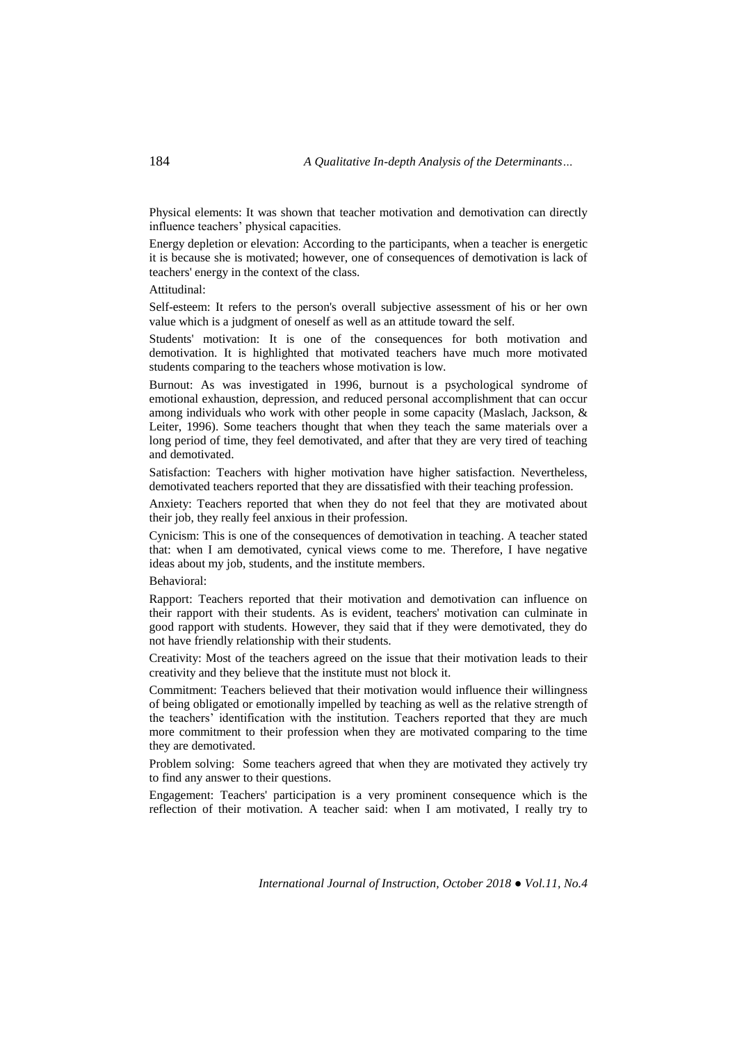Physical elements: It was shown that teacher motivation and demotivation can directly influence teachers' physical capacities.

Energy depletion or elevation: According to the participants, when a teacher is energetic it is because she is motivated; however, one of consequences of demotivation is lack of teachers' energy in the context of the class.

Attitudinal:

Self-esteem: It refers to the person's overall subjective assessment of his or her own value which is a judgment of oneself as well as an attitude toward the self.

Students' motivation: It is one of the consequences for both motivation and demotivation. It is highlighted that motivated teachers have much more motivated students comparing to the teachers whose motivation is low.

Burnout: As was investigated in 1996, burnout is a psychological syndrome of emotional exhaustion, depression, and reduced personal accomplishment that can occur among individuals who work with other people in some capacity (Maslach, Jackson, & Leiter, 1996). Some teachers thought that when they teach the same materials over a long period of time, they feel demotivated, and after that they are very tired of teaching and demotivated.

Satisfaction: Teachers with higher motivation have higher satisfaction. Nevertheless, demotivated teachers reported that they are dissatisfied with their teaching profession.

Anxiety: Teachers reported that when they do not feel that they are motivated about their job, they really feel anxious in their profession.

Cynicism: This is one of the consequences of demotivation in teaching. A teacher stated that: when I am demotivated, cynical views come to me. Therefore, I have negative ideas about my job, students, and the institute members.

Behavioral:

Rapport: Teachers reported that their motivation and demotivation can influence on their rapport with their students. As is evident, teachers' motivation can culminate in good rapport with students. However, they said that if they were demotivated, they do not have friendly relationship with their students.

Creativity: Most of the teachers agreed on the issue that their motivation leads to their creativity and they believe that the institute must not block it.

Commitment: Teachers believed that their motivation would influence their willingness of being obligated or emotionally impelled by teaching as well as the relative strength of the teachers' identification with the institution. Teachers reported that they are much more commitment to their profession when they are motivated comparing to the time they are demotivated.

Problem solving: Some teachers agreed that when they are motivated they actively try to find any answer to their questions.

Engagement: Teachers' participation is a very prominent consequence which is the reflection of their motivation. A teacher said: when I am motivated, I really try to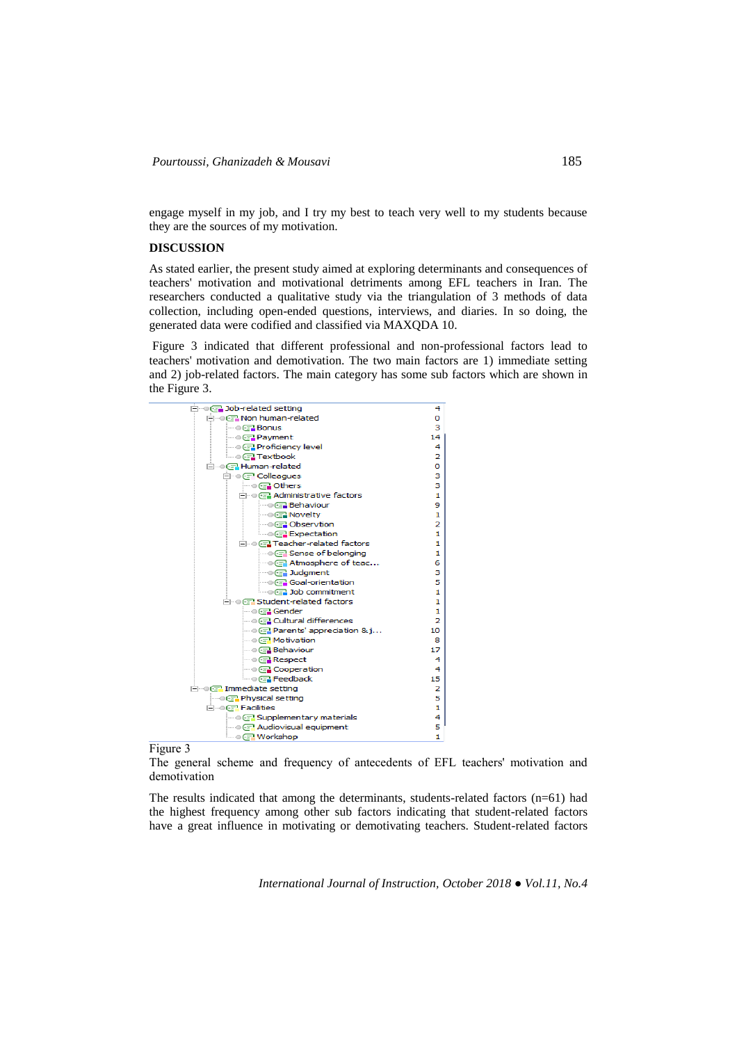engage myself in my job, and I try my best to teach very well to my students because they are the sources of my motivation.

## **DISCUSSION**

As stated earlier, the present study aimed at exploring determinants and consequences of teachers' motivation and motivational detriments among EFL teachers in Iran. The researchers conducted a qualitative study via the triangulation of 3 methods of data collection, including open-ended questions, interviews, and diaries. In so doing, the generated data were codified and classified via MAXQDA 10.

Figure 3 indicated that different professional and non-professional factors lead to teachers' motivation and demotivation. The two main factors are 1) immediate setting and 2) job-related factors. The main category has some sub factors which are shown in the Figure 3.



Figure 3

The general scheme and frequency of antecedents of EFL teachers' motivation and demotivation

The results indicated that among the determinants, students-related factors (n=61) had the highest frequency among other sub factors indicating that student-related factors have a great influence in motivating or demotivating teachers. Student-related factors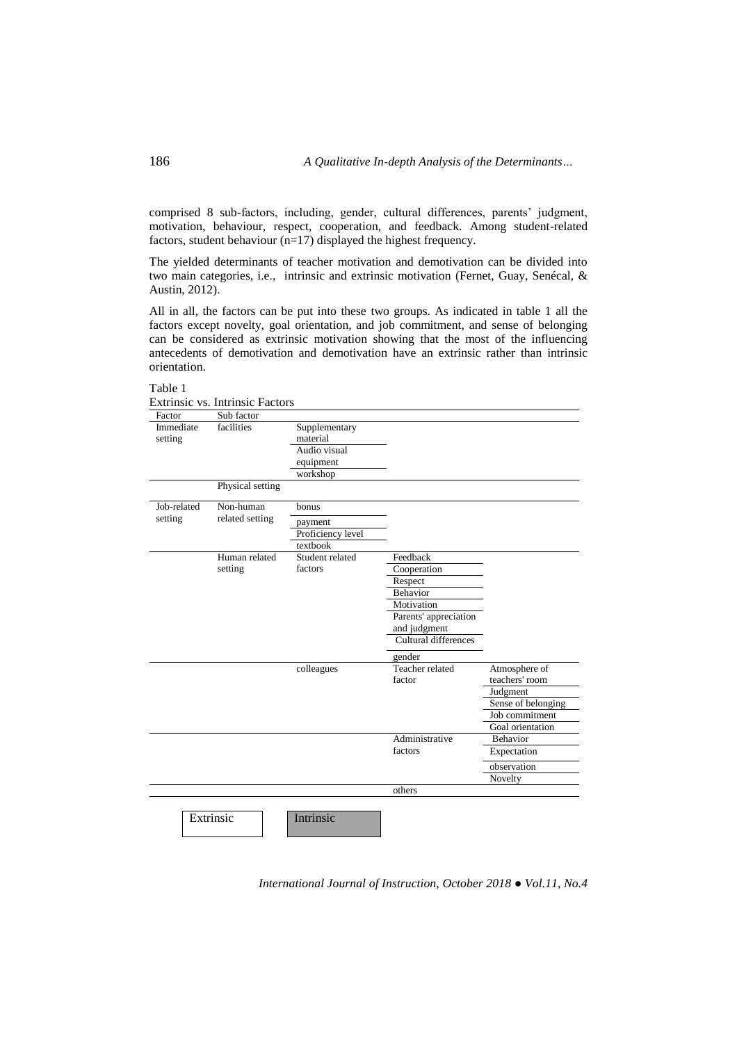comprised 8 sub-factors, including, gender, cultural differences, parents' judgment, motivation, behaviour, respect, cooperation, and feedback. Among student-related factors, student behaviour (n=17) displayed the highest frequency.

The yielded determinants of teacher motivation and demotivation can be divided into two main categories, i.e., intrinsic and extrinsic motivation (Fernet, Guay, Senécal, & Austin, 2012).

All in all, the factors can be put into these two groups. As indicated in table 1 all the factors except novelty, goal orientation, and job commitment, and sense of belonging can be considered as extrinsic motivation showing that the most of the influencing antecedents of demotivation and demotivation have an extrinsic rather than intrinsic orientation.

### Table 1

Extrinsic vs. Intrinsic Factors

| Factor      | Sub factor       |                   |                       |                    |
|-------------|------------------|-------------------|-----------------------|--------------------|
| Immediate   | facilities       | Supplementary     |                       |                    |
| setting     |                  | material          |                       |                    |
|             |                  | Audio visual      |                       |                    |
|             |                  | equipment         |                       |                    |
|             |                  | workshop          |                       |                    |
|             | Physical setting |                   |                       |                    |
| Job-related | Non-human        | bonus             |                       |                    |
| setting     | related setting  | payment           |                       |                    |
|             |                  | Proficiency level |                       |                    |
|             |                  | textbook          |                       |                    |
|             | Human related    | Student related   | Feedback              |                    |
|             | setting          | factors           | Cooperation           |                    |
|             |                  |                   | Respect               |                    |
|             |                  |                   | Behavior              |                    |
|             |                  |                   | Motivation            |                    |
|             |                  |                   | Parents' appreciation |                    |
|             |                  |                   | and judgment          |                    |
|             |                  |                   | Cultural differences  |                    |
|             |                  |                   | gender                |                    |
|             |                  | colleagues        | Teacher related       | Atmosphere of      |
|             |                  |                   | factor                | teachers' room     |
|             |                  |                   |                       | Judgment           |
|             |                  |                   |                       | Sense of belonging |
|             |                  |                   |                       | Job commitment     |
|             |                  |                   |                       | Goal orientation   |
|             |                  |                   | Administrative        | Behavior           |
|             |                  |                   | factors               | Expectation        |
|             |                  |                   |                       | observation        |
|             |                  |                   |                       | Novelty            |
|             |                  |                   | others                |                    |
|             |                  |                   |                       |                    |
|             | Extrinsic        | Intrinsic         |                       |                    |
|             |                  |                   |                       |                    |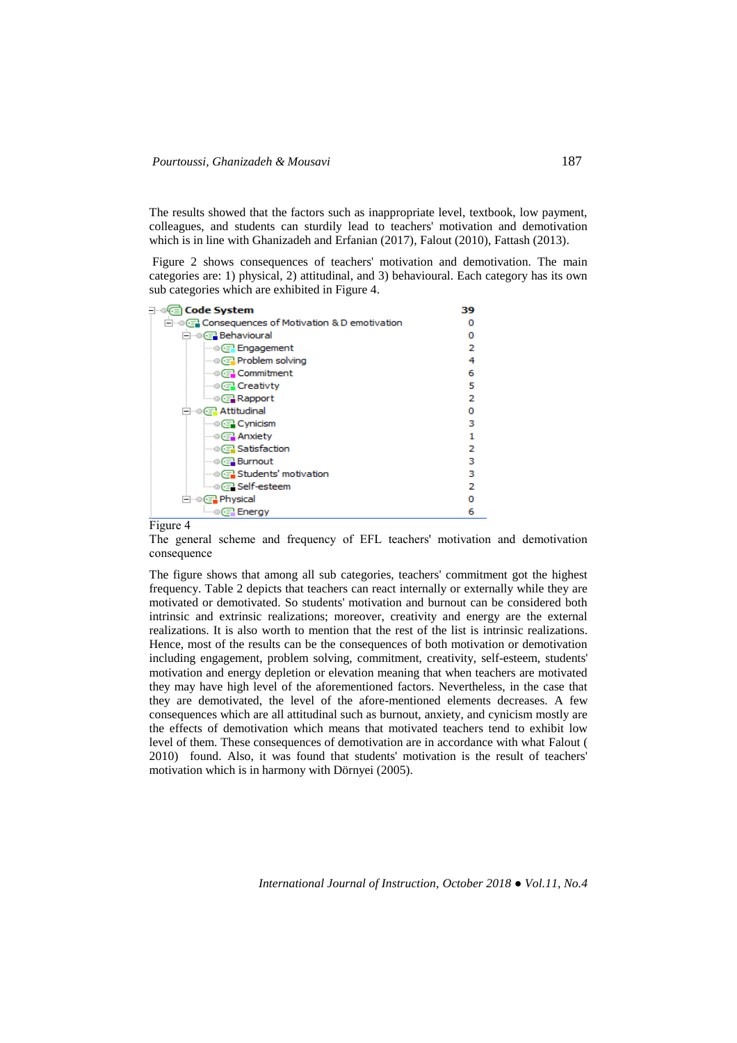The results showed that the factors such as inappropriate level, textbook, low payment, colleagues, and students can sturdily lead to teachers' motivation and demotivation which is in line with Ghanizadeh and Erfanian (2017), Falout (2010), Fattash (2013).

Figure 2 shows consequences of teachers' motivation and demotivation. The main categories are: 1) physical, 2) attitudinal, and 3) behavioural. Each category has its own sub categories which are exhibited in Figure 4.

| (ि⊟ Code System                                  | 39 |  |  |
|--------------------------------------------------|----|--|--|
| ⊟ © േ Consequences of Motivation & D emotivation |    |  |  |
| ⊟…© @ Behavioural                                | n  |  |  |
|                                                  | 2  |  |  |
| — © Problem solving                              | 4  |  |  |
| — ⊙ (नि Commitment                               | 6  |  |  |
| —⊜ (न्नु Creativty                               | 5  |  |  |
| — ⊙(न् <mark>र Rapport</mark>                    | 2  |  |  |
| ⊟…⊜@ Attitudinal                                 | Ω  |  |  |
| $\blacksquare$ Cynicism                          | з  |  |  |
|                                                  |    |  |  |
| <b>Satisfaction</b>                              | 2  |  |  |
| ≔⊜@⊒ Burnout                                     | з  |  |  |
| — ● ∈ Students' motivation                       | з  |  |  |
| ै Self-esteem                                    | 2  |  |  |
| ⊟…© ෙPhysical                                    |    |  |  |
| ≔⊕(ङ्ग्री Energy                                 | 6  |  |  |

#### Figure 4

The general scheme and frequency of EFL teachers' motivation and demotivation consequence

The figure shows that among all sub categories, teachers' commitment got the highest frequency. Table 2 depicts that teachers can react internally or externally while they are motivated or demotivated. So students' motivation and burnout can be considered both intrinsic and extrinsic realizations; moreover, creativity and energy are the external realizations. It is also worth to mention that the rest of the list is intrinsic realizations. Hence, most of the results can be the consequences of both motivation or demotivation including engagement, problem solving, commitment, creativity, self-esteem, students' motivation and energy depletion or elevation meaning that when teachers are motivated they may have high level of the aforementioned factors. Nevertheless, in the case that they are demotivated, the level of the afore-mentioned elements decreases. A few consequences which are all attitudinal such as burnout, anxiety, and cynicism mostly are the effects of demotivation which means that motivated teachers tend to exhibit low level of them. These consequences of demotivation are in accordance with what Falout ( 2010) found. Also, it was found that students' motivation is the result of teachers' motivation which is in harmony with Dörnyei (2005).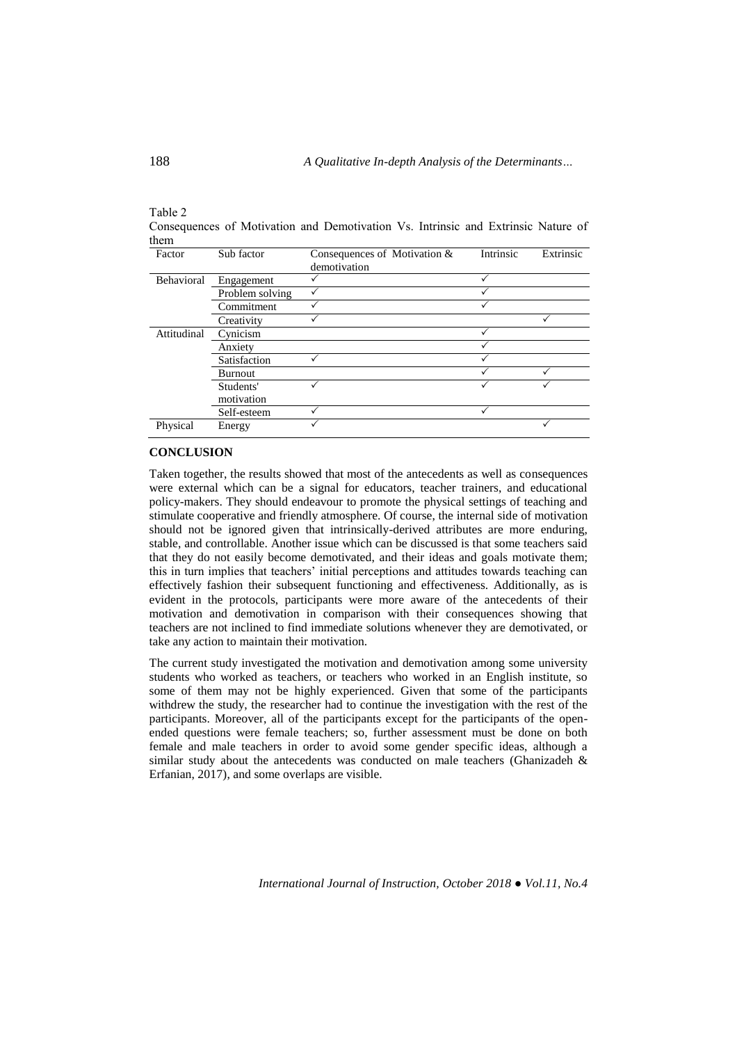| $10010 -$ |                                                                                   |  |  |  |  |
|-----------|-----------------------------------------------------------------------------------|--|--|--|--|
|           | Consequences of Motivation and Demotivation Vs. Intrinsic and Extrinsic Nature of |  |  |  |  |
| them      |                                                                                   |  |  |  |  |

| Factor      | Sub factor      | Consequences of Motivation & | Intrinsic | Extrinsic |
|-------------|-----------------|------------------------------|-----------|-----------|
|             |                 | demotivation                 |           |           |
| Behavioral  | Engagement      |                              |           |           |
|             | Problem solving |                              |           |           |
|             | Commitment      |                              |           |           |
|             | Creativity      |                              |           |           |
| Attitudinal | Cynicism        |                              |           |           |
|             | Anxiety         |                              |           |           |
|             | Satisfaction    |                              |           |           |
|             | Burnout         |                              |           |           |
|             | Students'       |                              |           |           |
|             | motivation      |                              |           |           |
|             | Self-esteem     |                              |           |           |
| Physical    | Energy          |                              |           |           |

### **CONCLUSION**

Taken together, the results showed that most of the antecedents as well as consequences were external which can be a signal for educators, teacher trainers, and educational policy-makers. They should endeavour to promote the physical settings of teaching and stimulate cooperative and friendly atmosphere. Of course, the internal side of motivation should not be ignored given that intrinsically-derived attributes are more enduring, stable, and controllable. Another issue which can be discussed is that some teachers said that they do not easily become demotivated, and their ideas and goals motivate them; this in turn implies that teachers' initial perceptions and attitudes towards teaching can effectively fashion their subsequent functioning and effectiveness. Additionally, as is evident in the protocols, participants were more aware of the antecedents of their motivation and demotivation in comparison with their consequences showing that teachers are not inclined to find immediate solutions whenever they are demotivated, or take any action to maintain their motivation.

The current study investigated the motivation and demotivation among some university students who worked as teachers, or teachers who worked in an English institute, so some of them may not be highly experienced. Given that some of the participants withdrew the study, the researcher had to continue the investigation with the rest of the participants. Moreover, all of the participants except for the participants of the openended questions were female teachers; so, further assessment must be done on both female and male teachers in order to avoid some gender specific ideas, although a similar study about the antecedents was conducted on male teachers (Ghanizadeh & Erfanian, 2017), and some overlaps are visible.

Table 2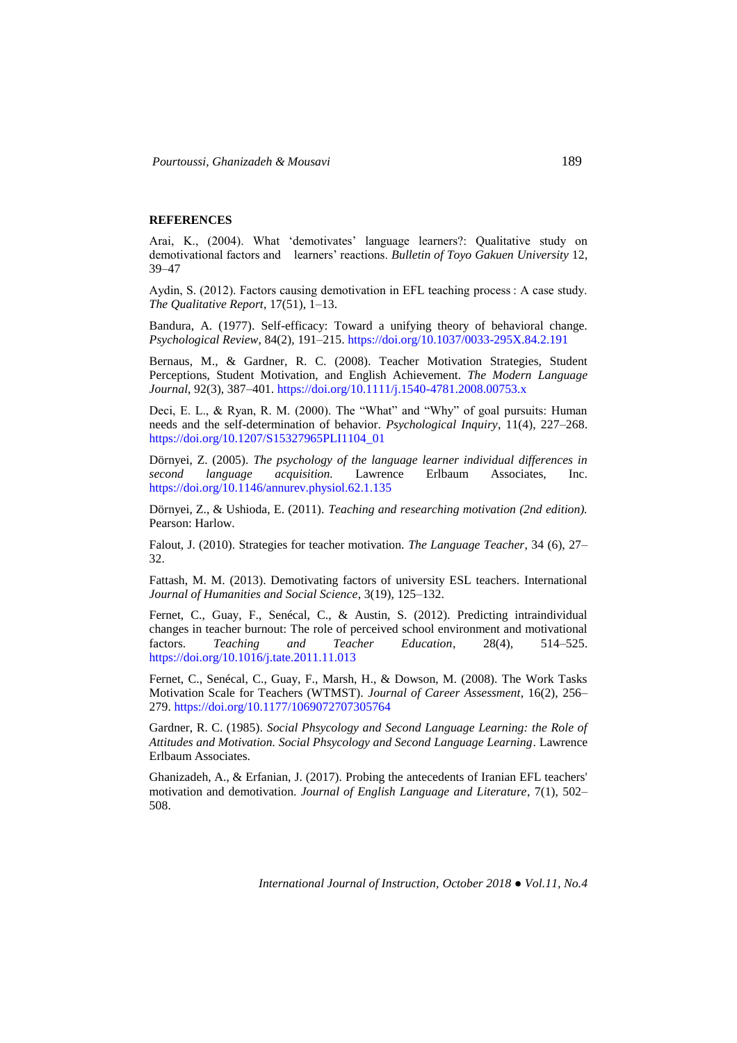#### **REFERENCES**

Arai, K., (2004). What 'demotivates' language learners?: Qualitative study on demotivational factors and learners' reactions. *Bulletin of Toyo Gakuen University* 12, 39–47

Aydin, S. (2012). Factors causing demotivation in EFL teaching process : A case study. *The Qualitative Report*, 17(51), 1–13.

Bandura, A. (1977). Self-efficacy: Toward a unifying theory of behavioral change. *Psychological Review*, 84(2), 191–215.<https://doi.org/10.1037/0033-295X.84.2.191>

Bernaus, M., & Gardner, R. C. (2008). Teacher Motivation Strategies, Student Perceptions, Student Motivation, and English Achievement. *The Modern Language Journal*, 92(3), 387–401.<https://doi.org/10.1111/j.1540-4781.2008.00753.x>

Deci, E. L., & Ryan, R. M. (2000). The "What" and "Why" of goal pursuits: Human needs and the self-determination of behavior. *Psychological Inquiry*, 11(4), 227–268. [https://doi.org/10.1207/S15327965PLI1104\\_01](https://doi.org/10.1207/S15327965PLI1104_01)

Dörnyei, Z. (2005). *The psychology of the language learner individual differences in second language acquisition.* Lawrence Erlbaum Associates, Inc. <https://doi.org/10.1146/annurev.physiol.62.1.135>

Dörnyei, Z., & Ushioda, E. (2011). *Teaching and researching motivation (2nd edition).* Pearson: Harlow.

Falout, J. (2010). Strategies for teacher motivation. *The Language Teacher*, 34 (6), 27– 32.

Fattash, M. M. (2013). Demotivating factors of university ESL teachers. International *Journal of Humanities and Social Science*, 3(19), 125–132.

Fernet, C., Guay, F., Senécal, C., & Austin, S. (2012). Predicting intraindividual changes in teacher burnout: The role of perceived school environment and motivational factors. *Teaching and Teacher Education*, 28(4), 514–525. <https://doi.org/10.1016/j.tate.2011.11.013>

Fernet, C., Senécal, C., Guay, F., Marsh, H., & Dowson, M. (2008). The Work Tasks Motivation Scale for Teachers (WTMST). *Journal of Career Assessment*, 16(2), 256– 279[. https://doi.org/10.1177/1069072707305764](https://doi.org/10.1177/1069072707305764)

Gardner, R. C. (1985). *Social Phsycology and Second Language Learning: the Role of Attitudes and Motivation. Social Phsycology and Second Language Learning*. Lawrence Erlbaum Associates.

Ghanizadeh, A., & Erfanian, J. (2017). Probing the antecedents of Iranian EFL teachers' motivation and demotivation. *Journal of English Language and Literature*, 7(1), 502– 508.